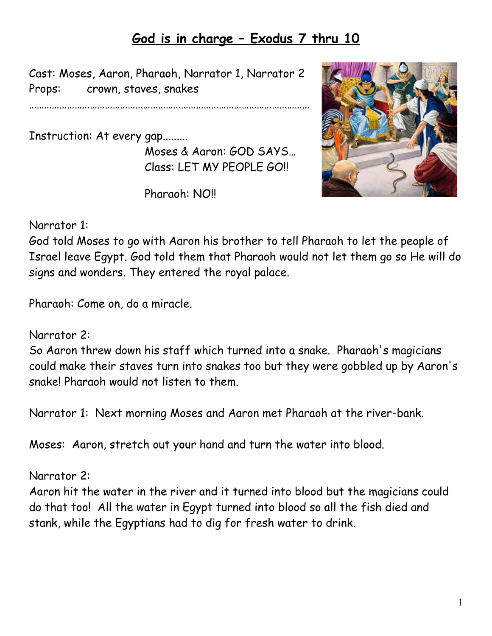## **God is in charge – Exodus 7 thru 10**

Cast: Moses, Aaron, Pharaoh, Narrator 1, Narrator 2 Props: crown, staves, snakes

…………………………………………………………………………………………………

Instruction: At every gap......... Moses & Aaron: GOD SAYS… Class: LET MY PEOPLE GO!!

Pharaoh: NO!!

## Narrator 1:

God told Moses to go with Aaron his brother to tell Pharaoh to let the people of Israel leave Egypt. God told them that Pharaoh would not let them go so He will do signs and wonders. They entered the royal palace.

Pharaoh: Come on, do a miracle.

Narrator 2:

So Aaron threw down his staff which turned into a snake. Pharaoh's magicians could make their staves turn into snakes too but they were gobbled up by Aaron's snake! Pharaoh would not listen to them.

Narrator 1: Next morning Moses and Aaron met Pharaoh at the river-bank.

Moses: Aaron, stretch out your hand and turn the water into blood.

Narrator 2:

Aaron hit the water in the river and it turned into blood but the magicians could do that too! All the water in Egypt turned into blood so all the fish died and stank, while the Egyptians had to dig for fresh water to drink.

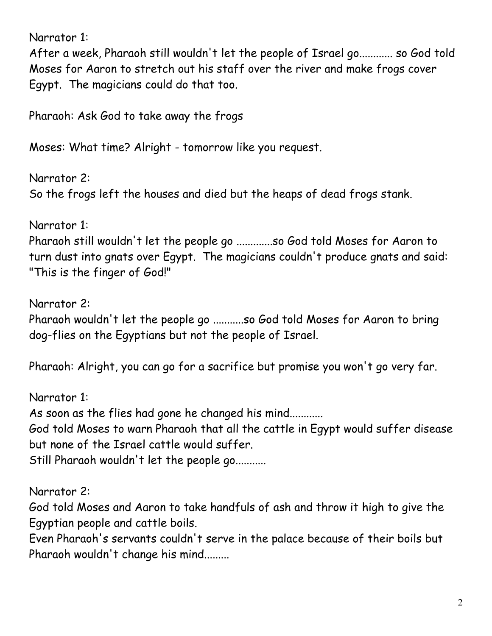Narrator 1:

After a week, Pharaoh still wouldn't let the people of Israel go............ so God told Moses for Aaron to stretch out his staff over the river and make frogs cover Egypt. The magicians could do that too.

Pharaoh: Ask God to take away the frogs

Moses: What time? Alright - tomorrow like you request.

Narrator 2: So the frogs left the houses and died but the heaps of dead frogs stank.

Narrator 1: Pharaoh still wouldn't let the people go .............so God told Moses for Aaron to turn dust into gnats over Egypt. The magicians couldn't produce gnats and said: "This is the finger of God!"

Narrator 2: Pharaoh wouldn't let the people go ...........so God told Moses for Aaron to bring dog-flies on the Egyptians but not the people of Israel.

Pharaoh: Alright, you can go for a sacrifice but promise you won't go very far.

Narrator 1: As soon as the flies had gone he changed his mind............ God told Moses to warn Pharaoh that all the cattle in Egypt would suffer disease but none of the Israel cattle would suffer. Still Pharaoh wouldn't let the people go...........

Narrator 2:

God told Moses and Aaron to take handfuls of ash and throw it high to give the Egyptian people and cattle boils.

Even Pharaoh's servants couldn't serve in the palace because of their boils but Pharaoh wouldn't change his mind.........